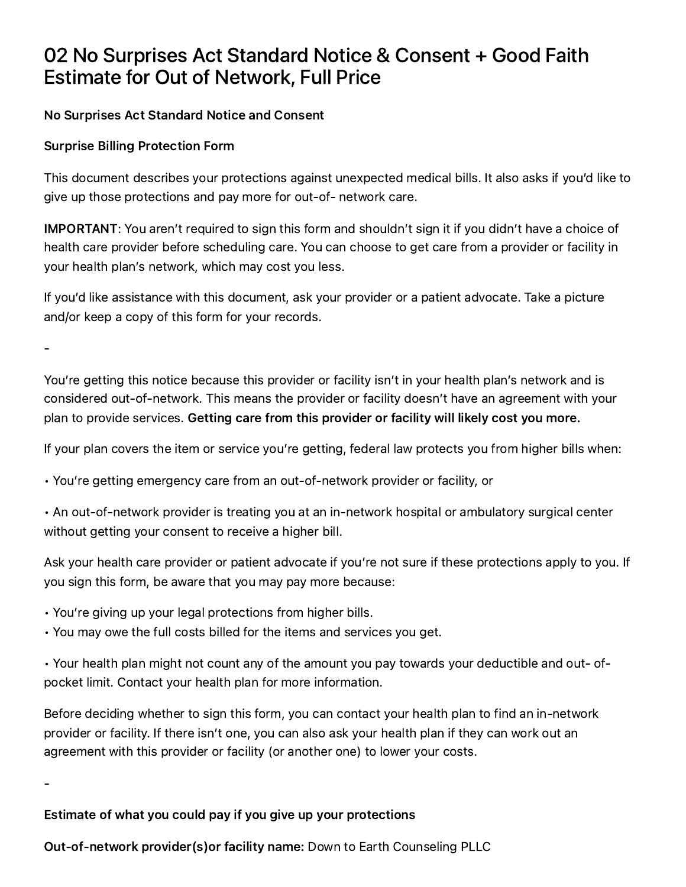# 02 No Surprises Act Standard Notice & Consent + Good Faith Estimate for Out of Network, Full Price

## No Surprises Act Standard Notice and Consent

## Surprise Billing Protection Form

This document describes your protections against unexpected medical bills. It also asks if you'd like to give up those protections and pay more for out-of- network care.

IMPORTANT: You aren't required to sign this form and shouldn't sign it if you didn't have a choice of health care provider before scheduling care. You can choose to get care from a provider or facility in your health plan's network, which may cost you less.

If you'd like assistance with this document, ask your provider or a patient advocate. Take a picture and/or keep a copy of this form for your records.

-

You're getting this notice because this provider or facility isn't in your health plan's network and is considered out-of-network. This means the provider or facility doesn't have an agreement with your plan to provide services. Getting care from this provider or facility will likely cost you more.

If your plan covers the item or service you're getting, federal law protects you from higher bills when:

• You're getting emergency care from an out-of-network provider or facility, or

• An out-of-network provider is treating you at an in-network hospital or ambulatory surgical center without getting your consent to receive a higher bill.

Ask your health care provider or patient advocate if you're not sure if these protections apply to you. If you sign this form, be aware that you may pay more because:

- You're giving up your legal protections from higher bills.
- You may owe the full costs billed for the items and services you get.

• Your health plan might not count any of the amount you pay towards your deductible and out- ofpocket limit. Contact your health plan for more information.

Before deciding whether to sign this form, you can contact your health plan to find an in-network provider or facility. If there isn't one, you can also ask your health plan if they can work out an agreement with this provider or facility (or another one) to lower your costs.

-

## Estimate of what you could pay if you give up your protections

Out-of-network provider(s)or facility name: Down to Earth Counseling PLLC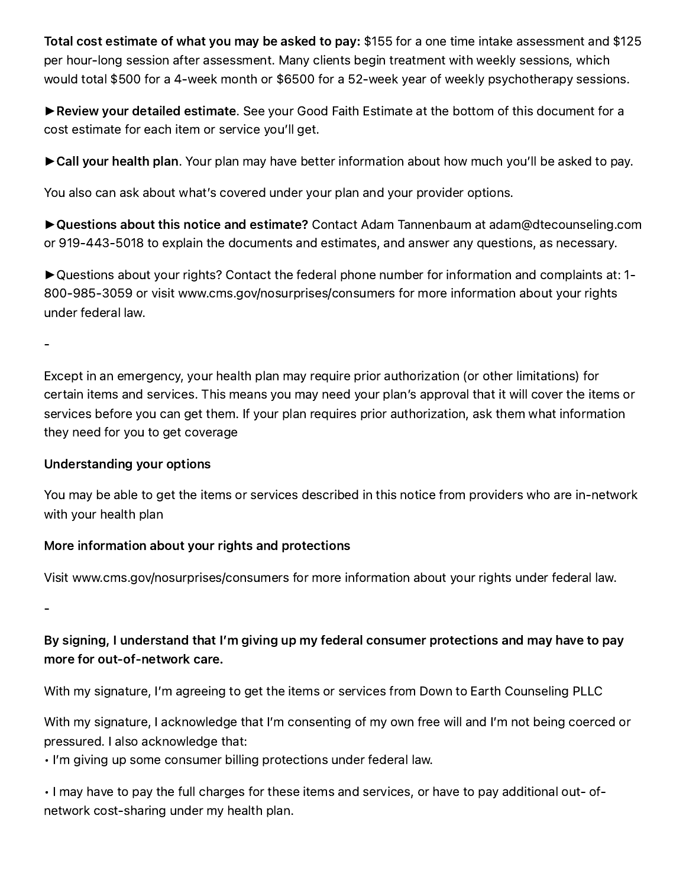Total cost estimate of what you may be asked to pay: \$155 for a one time intake assessment and \$125 per hour-long session after assessment. Many clients begin treatment with weekly sessions, which would total \$500 for a 4-week month or \$6500 for a 52-week year of weekly psychotherapy sessions.

► Review your detailed estimate. See your Good Faith Estimate at the bottom of this document for a cost estimate for each item or service you'll get.

► Call your health plan. Your plan may have better information about how much you'll be asked to pay.

You also can ask about what's covered under your plan and your provider options.

►Questions about this notice and estimate? Contact Adam Tannenbaum at adam@dtecounseling.com or 919-443-5018 to explain the documents and estimates, and answer any questions, as necessary.

►Questions about your rights? Contact the federal phone number for information and complaints at: 1- 800-985-3059 or visit www.cms.gov/nosurprises/consumers for more information about your rights under federal law.

-

Except in an emergency, your health plan may require prior authorization (or other limitations) for certain items and services. This means you may need your plan's approval that it will cover the items or services before you can get them. If your plan requires prior authorization, ask them what information they need for you to get coverage

#### Understanding your options

You may be able to get the items or services described in this notice from providers who are in-network with your health plan

## More information about your rights and protections

Visit www.cms.gov/nosurprises/consumers for more information about your rights under federal law.

-

# By signing, I understand that I'm giving up my federal consumer protections and may have to pay more for out-of-network care.

With my signature, I'm agreeing to get the items or services from Down to Earth Counseling PLLC

With my signature, I acknowledge that I'm consenting of my own free will and I'm not being coerced or pressured. I also acknowledge that:

• I'm giving up some consumer billing protections under federal law.

• I may have to pay the full charges for these items and services, or have to pay additional out- ofnetwork cost-sharing under my health plan.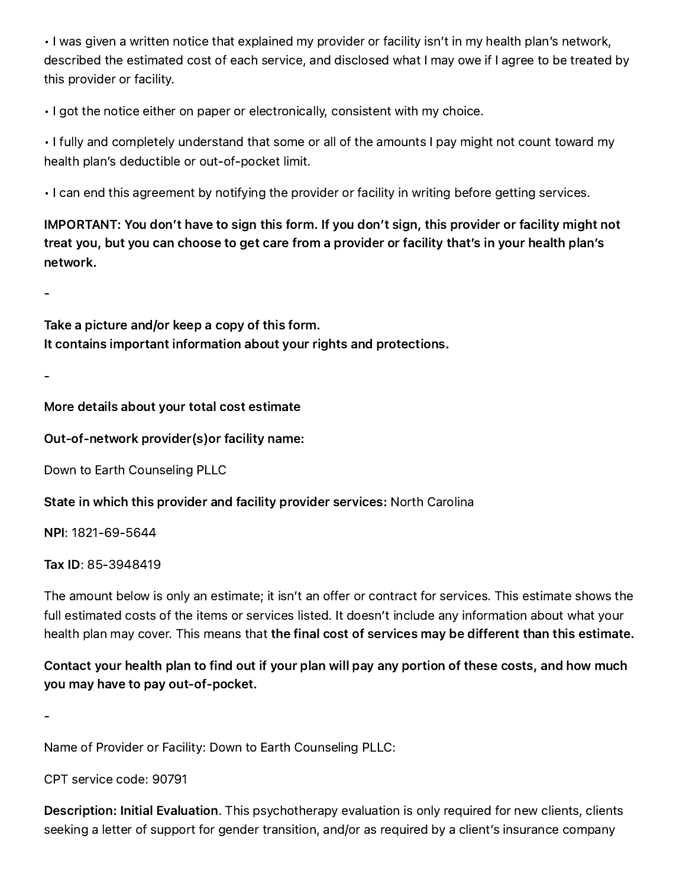• I was given a written notice that explained my provider or facility isn't in my health plan's network, described the estimated cost of each service, and disclosed what I may owe if I agree to be treated by this provider or facility.

• I got the notice either on paper or electronically, consistent with my choice.

• I fully and completely understand that some or all of the amounts I pay might not count toward my health plan's deductible or out-of-pocket limit.

• I can end this agreement by notifying the provider or facility in writing before getting services.

IMPORTANT: You don't have to sign this form. If you don't sign, this provider or facility might not treat you, but you can choose to get care from a provider or facility that's in your health plan's network.

-

Take a picture and/or keep a copy of this form. It contains important information about your rights and protections.

-

More details about your total cost estimate

Out-of-network provider(s)or facility name:

Down to Earth Counseling PLLC

State in which this provider and facility provider services: North Carolina

NPI: 1821-69-5644

Tax ID: 85-3948419

The amount below is only an estimate; it isn't an offer or contract for services. This estimate shows the full estimated costs of the items or services listed. It doesn't include any information about what your health plan may cover. This means that the final cost of services may be different than this estimate.

Contact your health plan to find out if your plan will pay any portion of these costs, and how much you may have to pay out-of-pocket.

-

Name of Provider or Facility: Down to Earth Counseling PLLC:

CPT service code: 90791

Description: Initial Evaluation. This psychotherapy evaluation is only required for new clients, clients seeking a letter of support for gender transition, and/or as required by a client's insurance company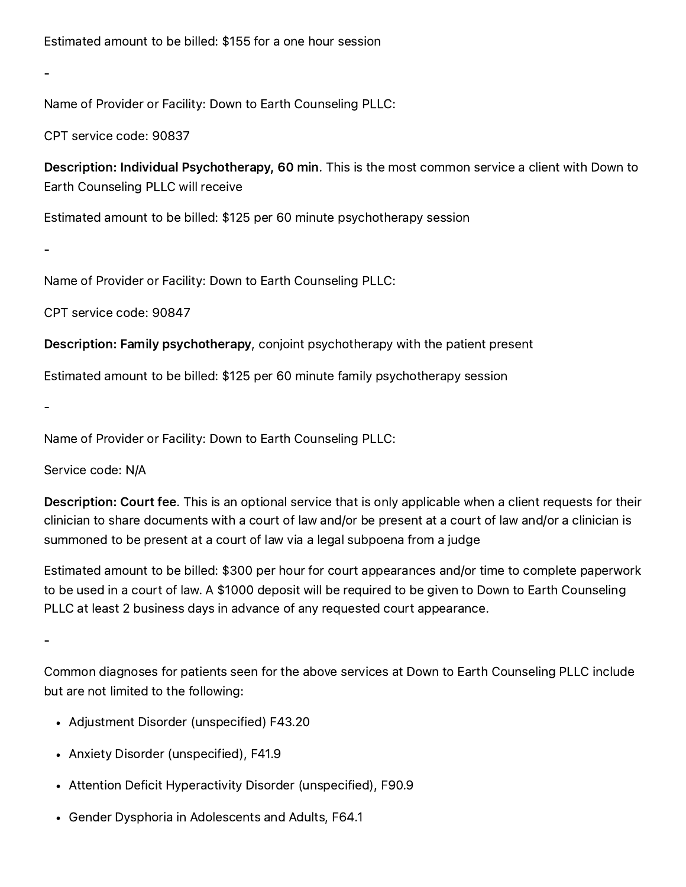-

Name of Provider or Facility: Down to Earth Counseling PLLC:

CPT service code: 90837

Description: Individual Psychotherapy, 60 min. This is the most common service a client with Down to Earth Counseling PLLC will receive

Estimated amount to be billed: \$125 per 60 minute psychotherapy session

Name of Provider or Facility: Down to Earth Counseling PLLC:

CPT service code: 90847

Description: Family psychotherapy, conjoint psychotherapy with the patient present

Estimated amount to be billed: \$125 per 60 minute family psychotherapy session

-

-

Name of Provider or Facility: Down to Earth Counseling PLLC:

Service code: N/A

Description: Court fee. This is an optional service that is only applicable when a client requests for their clinician to share documents with a court of law and/or be present at a court of law and/or a clinician is summoned to be present at a court of law via a legal subpoena from a judge

Estimated amount to be billed: \$300 per hour for court appearances and/or time to complete paperwork to be used in a court of law. A \$1000 deposit will be required to be given to Down to Earth Counseling PLLC at least 2 business days in advance of any requested court appearance.

-

Common diagnoses for patients seen for the above services at Down to Earth Counseling PLLC include but are not limited to the following:

- Adjustment Disorder (unspecified) F43.20
- Anxiety Disorder (unspecified), F41.9
- Attention Deficit Hyperactivity Disorder (unspecified), F90.9
- Gender Dysphoria in Adolescents and Adults, F64.1